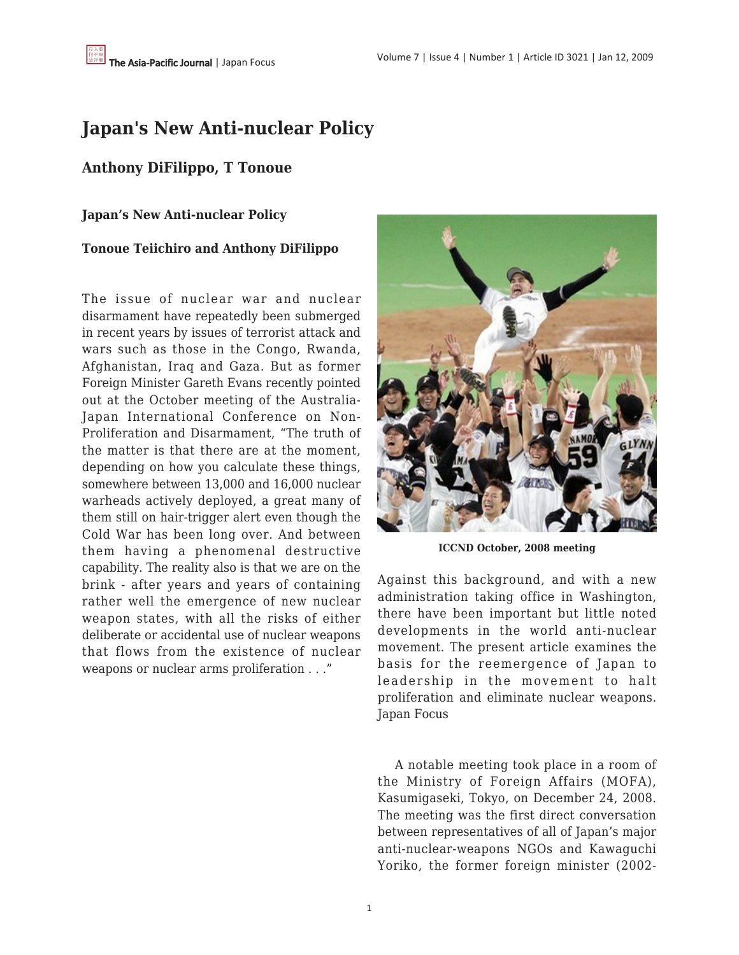# **Japan's New Anti-nuclear Policy**

## **Anthony DiFilippo, T Tonoue**

**Japan's New Anti-nuclear Policy**

#### **Tonoue Teiichiro and Anthony DiFilippo**

The issue of nuclear war and nuclear disarmament have repeatedly been submerged in recent years by issues of terrorist attack and wars such as those in the Congo, Rwanda, Afghanistan, Iraq and Gaza. But as former Foreign Minister Gareth Evans recently pointed out at the October meeting of the Australia-Japan International Conference on Non-Proliferation and Disarmament, "The truth of the matter is that there are at the moment, depending on how you calculate these things, somewhere between 13,000 and 16,000 nuclear warheads actively deployed, a great many of them still on hair-trigger alert even though the Cold War has been long over. And between them having a phenomenal destructive capability. The reality also is that we are on the brink - after years and years of containing rather well the emergence of new nuclear weapon states, with all the risks of either deliberate or accidental use of nuclear weapons that flows from the existence of nuclear weapons or nuclear arms proliferation . . ."



**ICCND October, 2008 meeting**

Against this background, and with a new administration taking office in Washington, there have been important but little noted developments in the world anti-nuclear movement. The present article examines the basis for the reemergence of Japan to leadership in the movement to halt proliferation and eliminate nuclear weapons. Japan Focus

 A notable meeting took place in a room of the Ministry of Foreign Affairs (MOFA), Kasumigaseki, Tokyo, on December 24, 2008. The meeting was the first direct conversation between representatives of all of Japan's major anti-nuclear-weapons NGOs and Kawaguchi Yoriko, the former foreign minister (2002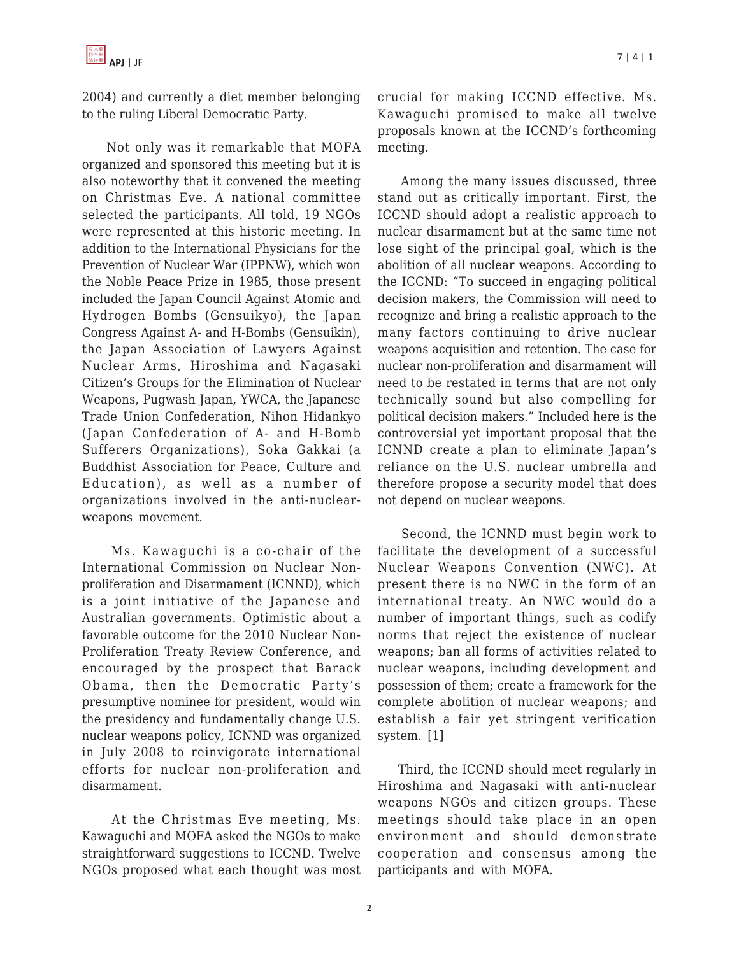2004) and currently a diet member belonging to the ruling Liberal Democratic Party.

 Not only was it remarkable that MOFA organized and sponsored this meeting but it is also noteworthy that it convened the meeting on Christmas Eve. A national committee selected the participants. All told, 19 NGOs were represented at this historic meeting. In addition to the International Physicians for the Prevention of Nuclear War (IPPNW), which won the Noble Peace Prize in 1985, those present included the Japan Council Against Atomic and Hydrogen Bombs (Gensuikyo), the Japan Congress Against A- and H-Bombs (Gensuikin), the Japan Association of Lawyers Against Nuclear Arms, Hiroshima and Nagasaki Citizen's Groups for the Elimination of Nuclear Weapons, Pugwash Japan, YWCA, the Japanese Trade Union Confederation, Nihon Hidankyo (Japan Confederation of A- and H-Bomb Sufferers Organizations), Soka Gakkai (a Buddhist Association for Peace, Culture and Education), as well as a number of organizations involved in the anti-nuclearweapons movement.

 Ms. Kawaguchi is a co-chair of the International Commission on Nuclear Nonproliferation and Disarmament (ICNND), which is a joint initiative of the Japanese and Australian governments. Optimistic about a favorable outcome for the 2010 Nuclear Non-Proliferation Treaty Review Conference, and encouraged by the prospect that Barack Obama, then the Democratic Party's presumptive nominee for president, would win the presidency and fundamentally change U.S. nuclear weapons policy, ICNND was organized in July 2008 to reinvigorate international efforts for nuclear non-proliferation and disarmament.

 At the Christmas Eve meeting, Ms. Kawaguchi and MOFA asked the NGOs to make straightforward suggestions to ICCND. Twelve NGOs proposed what each thought was most crucial for making ICCND effective. Ms. Kawaguchi promised to make all twelve proposals known at the ICCND's forthcoming meeting.

 Among the many issues discussed, three stand out as critically important. First, the ICCND should adopt a realistic approach to nuclear disarmament but at the same time not lose sight of the principal goal, which is the abolition of all nuclear weapons. According to the ICCND: "To succeed in engaging political decision makers, the Commission will need to recognize and bring a realistic approach to the many factors continuing to drive nuclear weapons acquisition and retention. The case for nuclear non-proliferation and disarmament will need to be restated in terms that are not only technically sound but also compelling for political decision makers." Included here is the controversial yet important proposal that the ICNND create a plan to eliminate Japan's reliance on the U.S. nuclear umbrella and therefore propose a security model that does not depend on nuclear weapons.

 Second, the ICNND must begin work to facilitate the development of a successful Nuclear Weapons Convention (NWC). At present there is no NWC in the form of an international treaty. An NWC would do a number of important things, such as codify norms that reject the existence of nuclear weapons; ban all forms of activities related to nuclear weapons, including development and possession of them; create a framework for the complete abolition of nuclear weapons; and establish a fair yet stringent verification system. [1]

 Third, the ICCND should meet regularly in Hiroshima and Nagasaki with anti-nuclear weapons NGOs and citizen groups. These meetings should take place in an open environment and should demonstrate cooperation and consensus among the participants and with MOFA.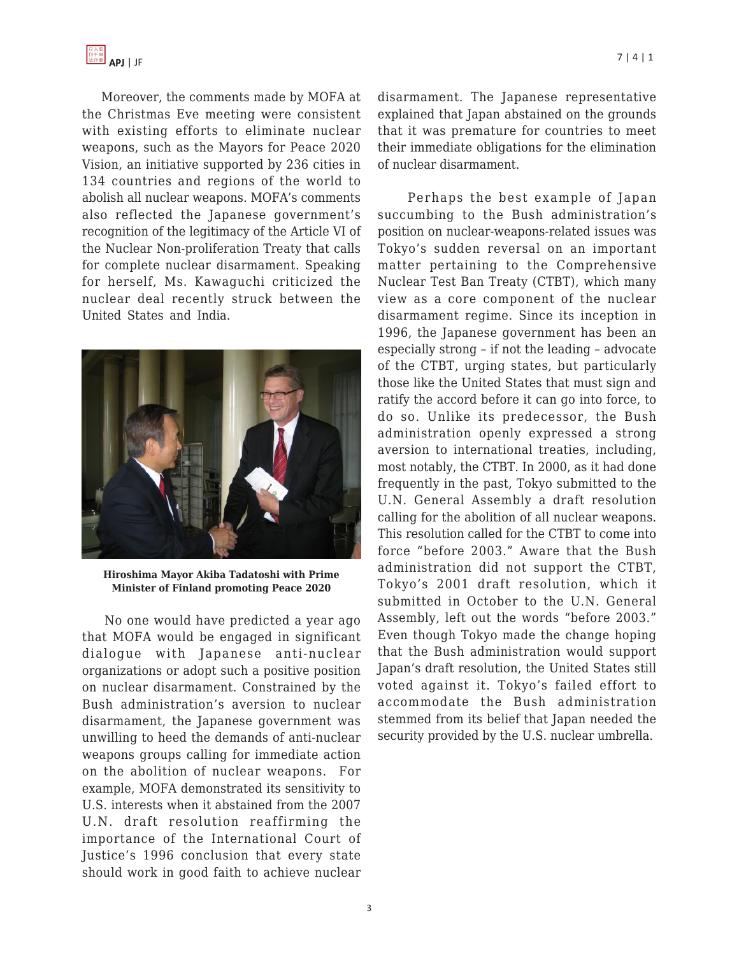Moreover, the comments made by MOFA at the Christmas Eve meeting were consistent with existing efforts to eliminate nuclear weapons, such as the Mayors for Peace 2020 Vision, an initiative supported by 236 cities in 134 countries and regions of the world to abolish all nuclear weapons. MOFA's comments also reflected the Japanese government's recognition of the legitimacy of the Article VI of the Nuclear Non-proliferation Treaty that calls for complete nuclear disarmament. Speaking for herself, Ms. Kawaguchi criticized the nuclear deal recently struck between the United States and India.



**Hiroshima Mayor Akiba Tadatoshi with Prime Minister of Finland promoting Peace 2020**

 No one would have predicted a year ago that MOFA would be engaged in significant dialogue with Japanese anti-nuclear organizations or adopt such a positive position on nuclear disarmament. Constrained by the Bush administration's aversion to nuclear disarmament, the Japanese government was unwilling to heed the demands of anti-nuclear weapons groups calling for immediate action on the abolition of nuclear weapons. For example, MOFA demonstrated its sensitivity to U.S. interests when it abstained from the 2007 U.N. draft resolution reaffirming the importance of the International Court of Justice's 1996 conclusion that every state should work in good faith to achieve nuclear disarmament. The Japanese representative explained that Japan abstained on the grounds that it was premature for countries to meet their immediate obligations for the elimination of nuclear disarmament.

 Perhaps the best example of Japan succumbing to the Bush administration's position on nuclear-weapons-related issues was Tokyo's sudden reversal on an important matter pertaining to the Comprehensive Nuclear Test Ban Treaty (CTBT), which many view as a core component of the nuclear disarmament regime. Since its inception in 1996, the Japanese government has been an especially strong – if not the leading – advocate of the CTBT, urging states, but particularly those like the United States that must sign and ratify the accord before it can go into force, to do so. Unlike its predecessor, the Bush administration openly expressed a strong aversion to international treaties, including, most notably, the CTBT. In 2000, as it had done frequently in the past, Tokyo submitted to the U.N. General Assembly a draft resolution calling for the abolition of all nuclear weapons. This resolution called for the CTBT to come into force "before 2003." Aware that the Bush administration did not support the CTBT, Tokyo's 2001 draft resolution, which it submitted in October to the U.N. General Assembly, left out the words "before 2003." Even though Tokyo made the change hoping that the Bush administration would support Japan's draft resolution, the United States still voted against it. Tokyo's failed effort to accommodate the Bush administration stemmed from its belief that Japan needed the security provided by the U.S. nuclear umbrella.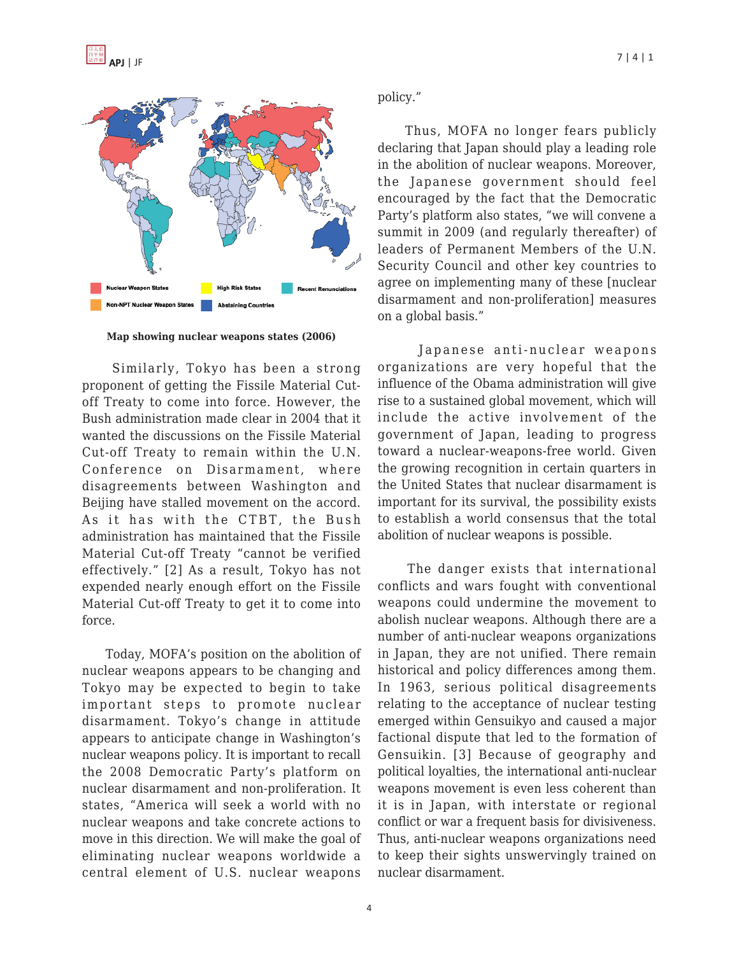

**Map showing nuclear weapons states (2006)**

 Similarly, Tokyo has been a strong proponent of getting the Fissile Material Cutoff Treaty to come into force. However, the Bush administration made clear in 2004 that it wanted the discussions on the Fissile Material Cut-off Treaty to remain within the U.N. Conference on Disarmament, where disagreements between Washington and Beijing have stalled movement on the accord. As it has with the CTBT, the Bush administration has maintained that the Fissile Material Cut-off Treaty "cannot be verified effectively." [2] As a result, Tokyo has not expended nearly enough effort on the Fissile Material Cut-off Treaty to get it to come into force.

 Today, MOFA's position on the abolition of nuclear weapons appears to be changing and Tokyo may be expected to begin to take important steps to promote nuclear disarmament. Tokyo's change in attitude appears to anticipate change in Washington's nuclear weapons policy. It is important to recall the 2008 Democratic Party's platform on nuclear disarmament and non-proliferation. It states, "America will seek a world with no nuclear weapons and take concrete actions to move in this direction. We will make the goal of eliminating nuclear weapons worldwide a central element of U.S. nuclear weapons

#### policy."

 Thus, MOFA no longer fears publicly declaring that Japan should play a leading role in the abolition of nuclear weapons. Moreover, the Japanese government should feel encouraged by the fact that the Democratic Party's platform also states, "we will convene a summit in 2009 (and regularly thereafter) of leaders of Permanent Members of the U.N. Security Council and other key countries to agree on implementing many of these [nuclear disarmament and non-proliferation] measures on a global basis."

 Japanese anti-nuclear weapons organizations are very hopeful that the influence of the Obama administration will give rise to a sustained global movement, which will include the active involvement of the government of Japan, leading to progress toward a nuclear-weapons-free world. Given the growing recognition in certain quarters in the United States that nuclear disarmament is important for its survival, the possibility exists to establish a world consensus that the total abolition of nuclear weapons is possible.

 The danger exists that international conflicts and wars fought with conventional weapons could undermine the movement to abolish nuclear weapons. Although there are a number of anti-nuclear weapons organizations in Japan, they are not unified. There remain historical and policy differences among them. In 1963, serious political disagreements relating to the acceptance of nuclear testing emerged within Gensuikyo and caused a major factional dispute that led to the formation of Gensuikin. [3] Because of geography and political loyalties, the international anti-nuclear weapons movement is even less coherent than it is in Japan, with interstate or regional conflict or war a frequent basis for divisiveness. Thus, anti-nuclear weapons organizations need to keep their sights unswervingly trained on nuclear disarmament.